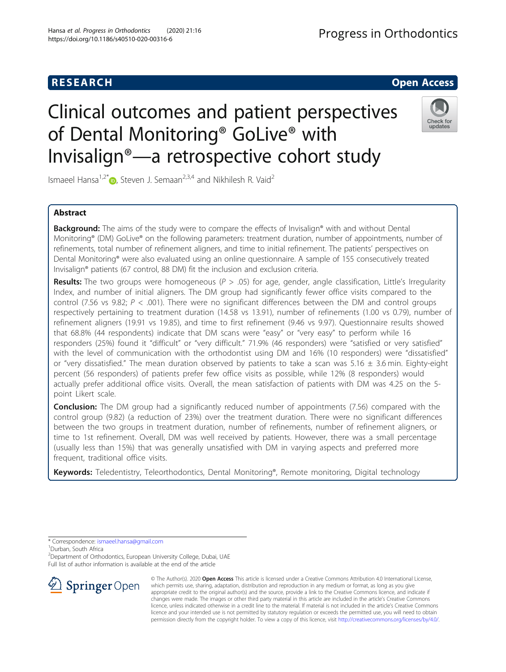# Clinical outcomes and patient perspectives of Dental Monitoring® GoLive® with Invisalign®—a retrospective cohort study



Ismaeel Hansa<sup>1,2[\\*](http://orcid.org/0000-0001-6070-4534)</sup>  $\bullet$ , Steven J. Semaan<sup>2,3,4</sup> and Nikhilesh R. Vaid<sup>2</sup>

## Abstract

**Background:** The aims of the study were to compare the effects of Invisalign® with and without Dental Monitoring® (DM) GoLive® on the following parameters: treatment duration, number of appointments, number of refinements, total number of refinement aligners, and time to initial refinement. The patients' perspectives on Dental Monitoring® were also evaluated using an online questionnaire. A sample of 155 consecutively treated Invisalign® patients (67 control, 88 DM) fit the inclusion and exclusion criteria.

**Results:** The two groups were homogeneous ( $P > .05$ ) for age, gender, angle classification, Little's Irregularity Index, and number of initial aligners. The DM group had significantly fewer office visits compared to the control (7.56 vs 9.82;  $P < .001$ ). There were no significant differences between the DM and control groups respectively pertaining to treatment duration (14.58 vs 13.91), number of refinements (1.00 vs 0.79), number of refinement aligners (19.91 vs 19.85), and time to first refinement (9.46 vs 9.97). Questionnaire results showed that 68.8% (44 respondents) indicate that DM scans were "easy" or "very easy" to perform while 16 responders (25%) found it "difficult" or "very difficult." 71.9% (46 responders) were "satisfied or very satisfied" with the level of communication with the orthodontist using DM and 16% (10 responders) were "dissatisfied" or "very dissatisfied." The mean duration observed by patients to take a scan was 5.16  $\pm$  3.6 min. Eighty-eight percent (56 responders) of patients prefer few office visits as possible, while 12% (8 responders) would actually prefer additional office visits. Overall, the mean satisfaction of patients with DM was 4.25 on the 5 point Likert scale.

**Conclusion:** The DM group had a significantly reduced number of appointments (7.56) compared with the control group (9.82) (a reduction of 23%) over the treatment duration. There were no significant differences between the two groups in treatment duration, number of refinements, number of refinement aligners, or time to 1st refinement. Overall, DM was well received by patients. However, there was a small percentage (usually less than 15%) that was generally unsatisfied with DM in varying aspects and preferred more frequent, traditional office visits.

Keywords: Teledentistry, Teleorthodontics, Dental Monitoring®, Remote monitoring, Digital technology

\* Correspondence: [ismaeel.hansa@gmail.com](mailto:ismaeel.hansa@gmail.com) <sup>1</sup>

<sup>1</sup>Durban, South Africa

<sup>2</sup> Department of Orthodontics, European University College, Dubai, UAE Full list of author information is available at the end of the article



© The Author(s). 2020 Open Access This article is licensed under a Creative Commons Attribution 4.0 International License, which permits use, sharing, adaptation, distribution and reproduction in any medium or format, as long as you give appropriate credit to the original author(s) and the source, provide a link to the Creative Commons licence, and indicate if changes were made. The images or other third party material in this article are included in the article's Creative Commons licence, unless indicated otherwise in a credit line to the material. If material is not included in the article's Creative Commons licence and your intended use is not permitted by statutory regulation or exceeds the permitted use, you will need to obtain permission directly from the copyright holder. To view a copy of this licence, visit <http://creativecommons.org/licenses/by/4.0/>.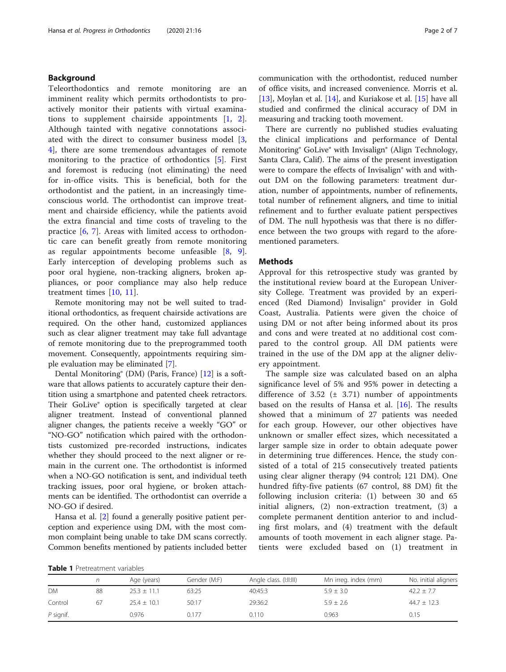## <span id="page-1-0"></span>Background

Teleorthodontics and remote monitoring are an imminent reality which permits orthodontists to proactively monitor their patients with virtual examinations to supplement chairside appointments [\[1](#page-5-0), [2](#page-6-0)]. Although tainted with negative connotations associated with the direct to consumer business model [\[3](#page-6-0), [4\]](#page-6-0), there are some tremendous advantages of remote monitoring to the practice of orthodontics [[5\]](#page-6-0). First and foremost is reducing (not eliminating) the need for in-office visits. This is beneficial, both for the orthodontist and the patient, in an increasingly timeconscious world. The orthodontist can improve treatment and chairside efficiency, while the patients avoid the extra financial and time costs of traveling to the practice [[6,](#page-6-0) [7](#page-6-0)]. Areas with limited access to orthodontic care can benefit greatly from remote monitoring as regular appointments become unfeasible [[8,](#page-6-0) [9](#page-6-0)]. Early interception of developing problems such as poor oral hygiene, non-tracking aligners, broken appliances, or poor compliance may also help reduce treatment times [[10](#page-6-0), [11](#page-6-0)].

Remote monitoring may not be well suited to traditional orthodontics, as frequent chairside activations are required. On the other hand, customized appliances such as clear aligner treatment may take full advantage of remote monitoring due to the preprogrammed tooth movement. Consequently, appointments requiring simple evaluation may be eliminated [[7\]](#page-6-0).

Dental Monitoring® (DM) (Paris, France) [[12\]](#page-6-0) is a software that allows patients to accurately capture their dentition using a smartphone and patented cheek retractors. Their GoLive® option is specifically targeted at clear aligner treatment. Instead of conventional planned aligner changes, the patients receive a weekly "GO" or "NO-GO" notification which paired with the orthodontists customized pre-recorded instructions, indicates whether they should proceed to the next aligner or remain in the current one. The orthodontist is informed when a NO-GO notification is sent, and individual teeth tracking issues, poor oral hygiene, or broken attachments can be identified. The orthodontist can override a NO-GO if desired.

Hansa et al. [\[2](#page-6-0)] found a generally positive patient perception and experience using DM, with the most common complaint being unable to take DM scans correctly. Common benefits mentioned by patients included better communication with the orthodontist, reduced number of office visits, and increased convenience. Morris et al. [[13\]](#page-6-0), Moylan et al. [[14\]](#page-6-0), and Kuriakose et al. [\[15](#page-6-0)] have all studied and confirmed the clinical accuracy of DM in measuring and tracking tooth movement.

There are currently no published studies evaluating the clinical implications and performance of Dental Monitoring® GoLive® with Invisalign® (Align Technology, Santa Clara, Calif). The aims of the present investigation were to compare the effects of Invisalign® with and without DM on the following parameters: treatment duration, number of appointments, number of refinements, total number of refinement aligners, and time to initial refinement and to further evaluate patient perspectives of DM. The null hypothesis was that there is no difference between the two groups with regard to the aforementioned parameters.

#### Methods

Approval for this retrospective study was granted by the institutional review board at the European University College. Treatment was provided by an experienced (Red Diamond) Invisalign® provider in Gold Coast, Australia. Patients were given the choice of using DM or not after being informed about its pros and cons and were treated at no additional cost compared to the control group. All DM patients were trained in the use of the DM app at the aligner delivery appointment.

The sample size was calculated based on an alpha significance level of 5% and 95% power in detecting a difference of 3.52  $(\pm 3.71)$  number of appointments based on the results of Hansa et al. [\[16](#page-6-0)]. The results showed that a minimum of 27 patients was needed for each group. However, our other objectives have unknown or smaller effect sizes, which necessitated a larger sample size in order to obtain adequate power in determining true differences. Hence, the study consisted of a total of 215 consecutively treated patients using clear aligner therapy (94 control; 121 DM). One hundred fifty-five patients (67 control, 88 DM) fit the following inclusion criteria: (1) between 30 and 65 initial aligners, (2) non-extraction treatment, (3) a complete permanent dentition anterior to and including first molars, and (4) treatment with the default amounts of tooth movement in each aligner stage. Patients were excluded based on (1) treatment in

Table 1 Pretreatment variables

|           |    | Age (years)   | Gender (M:F) | Angle class. (I:II:III) | Mn irreg. index (mm) | No. initial aligners |
|-----------|----|---------------|--------------|-------------------------|----------------------|----------------------|
| <b>DM</b> | 88 | $25.3 + 11.1$ | 63:25        | 40:45:3                 | $5.9 \pm 3.0$        | $42.2 \pm 7.7$       |
| Control   | 67 | $25.4 + 10.1$ | 50:17        | 29:36:2                 | $5.9 \pm 2.6$        | $44.7 \pm 12.3$      |
| P signif. |    | 0.976         | 0.177        | 0.110                   | 0.963                | 0.15                 |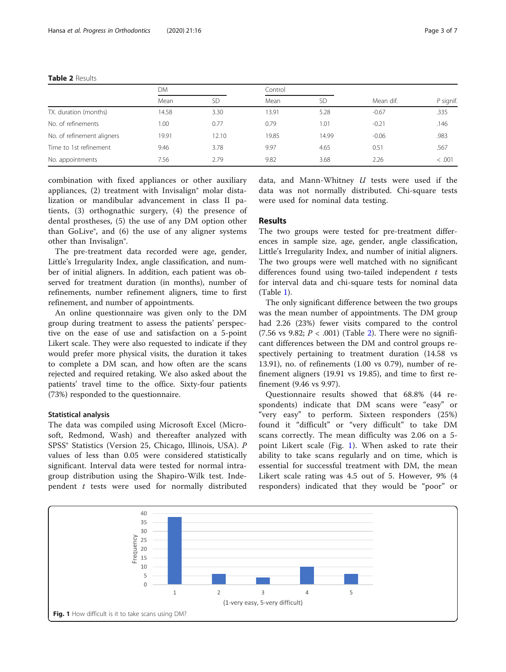|                            | DM    |           | Control |       |           |             |
|----------------------------|-------|-----------|---------|-------|-----------|-------------|
|                            | Mean  | <b>SD</b> | Mean    | SD    | Mean dif. | $P$ signif. |
| TX. duration (months)      | 14.58 | 3.30      | 13.91   | 5.28  | $-0.67$   | .335        |
| No. of refinements         | 0.00  | 0.77      | 0.79    | 1.01  | $-0.21$   | .146        |
| No. of refinement aligners | 19.91 | 12.10     | 19.85   | 14.99 | $-0.06$   | .983        |
| Time to 1st refinement     | 9.46  | 3.78      | 9.97    | 4.65  | 0.51      | .567        |
| No. appointments           | 7.56  | 2.79      | 9.82    | 3.68  | 2.26      | < .001      |

combination with fixed appliances or other auxiliary appliances, (2) treatment with Invisalign® molar distalization or mandibular advancement in class II patients, (3) orthognathic surgery, (4) the presence of dental prostheses, (5) the use of any DM option other than GoLive®, and (6) the use of any aligner systems other than Invisalign®.

The pre-treatment data recorded were age, gender, Little's Irregularity Index, angle classification, and number of initial aligners. In addition, each patient was observed for treatment duration (in months), number of refinements, number refinement aligners, time to first refinement, and number of appointments.

An online questionnaire was given only to the DM group during treatment to assess the patients' perspective on the ease of use and satisfaction on a 5-point Likert scale. They were also requested to indicate if they would prefer more physical visits, the duration it takes to complete a DM scan, and how often are the scans rejected and required retaking. We also asked about the patients' travel time to the office. Sixty-four patients (73%) responded to the questionnaire.

### Statistical analysis

The data was compiled using Microsoft Excel (Microsoft, Redmond, Wash) and thereafter analyzed with SPSS® Statistics (Version 25, Chicago, Illinois, USA). P values of less than 0.05 were considered statistically significant. Interval data were tested for normal intragroup distribution using the Shapiro-Wilk test. Independent  $t$  tests were used for normally distributed data, and Mann-Whitney  $U$  tests were used if the data was not normally distributed. Chi-square tests were used for nominal data testing.

## Results

The two groups were tested for pre-treatment differences in sample size, age, gender, angle classification, Little's Irregularity Index, and number of initial aligners. The two groups were well matched with no significant differences found using two-tailed independent  $t$  tests for interval data and chi-square tests for nominal data (Table [1\)](#page-1-0).

The only significant difference between the two groups was the mean number of appointments. The DM group had 2.26 (23%) fewer visits compared to the control (7.56 vs 9.82;  $P < .001$ ) (Table 2). There were no significant differences between the DM and control groups respectively pertaining to treatment duration (14.58 vs 13.91), no. of refinements (1.00 vs 0.79), number of refinement aligners (19.91 vs 19.85), and time to first refinement (9.46 vs 9.97).

Questionnaire results showed that 68.8% (44 respondents) indicate that DM scans were "easy" or "very easy" to perform. Sixteen responders (25%) found it "difficult" or "very difficult" to take DM scans correctly. The mean difficulty was 2.06 on a 5 point Likert scale (Fig. 1). When asked to rate their ability to take scans regularly and on time, which is essential for successful treatment with DM, the mean Likert scale rating was 4.5 out of 5. However, 9% (4 responders) indicated that they would be "poor" or

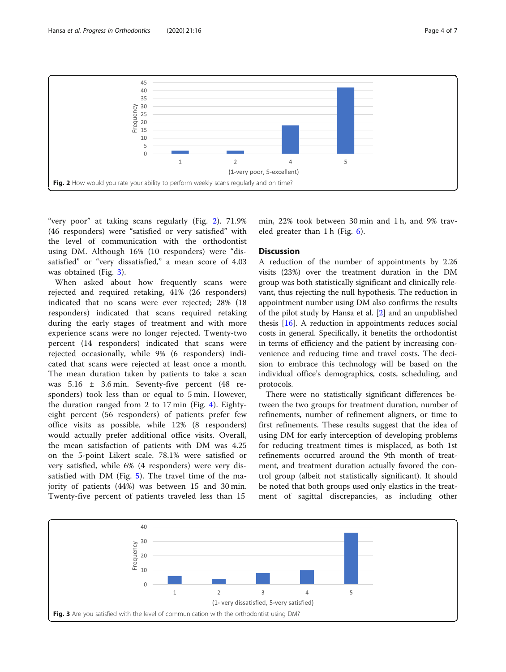Hansa et al. Progress in Orthodontics (2020) 21:16 Page 4 of 7



"very poor" at taking scans regularly (Fig. 2). 71.9% (46 responders) were "satisfied or very satisfied" with the level of communication with the orthodontist using DM. Although 16% (10 responders) were "dissatisfied" or "very dissatisfied," a mean score of 4.03 was obtained (Fig. 3).

When asked about how frequently scans were rejected and required retaking, 41% (26 responders) indicated that no scans were ever rejected; 28% (18 responders) indicated that scans required retaking during the early stages of treatment and with more experience scans were no longer rejected. Twenty-two percent (14 responders) indicated that scans were rejected occasionally, while 9% (6 responders) indicated that scans were rejected at least once a month. The mean duration taken by patients to take a scan was 5.16 ± 3.6 min. Seventy-five percent (48 responders) took less than or equal to 5 min. However, the duration ranged from 2 to 17 min (Fig. [4](#page-4-0)). Eightyeight percent (56 responders) of patients prefer few office visits as possible, while 12% (8 responders) would actually prefer additional office visits. Overall, the mean satisfaction of patients with DM was 4.25 on the 5-point Likert scale. 78.1% were satisfied or very satisfied, while 6% (4 responders) were very dissatisfied with DM (Fig. [5](#page-4-0)). The travel time of the majority of patients (44%) was between 15 and 30 min. Twenty-five percent of patients traveled less than 15

min, 22% took between 30 min and 1 h, and 9% traveled greater than 1 h (Fig. [6](#page-5-0)).

## **Discussion**

A reduction of the number of appointments by 2.26 visits (23%) over the treatment duration in the DM group was both statistically significant and clinically relevant, thus rejecting the null hypothesis. The reduction in appointment number using DM also confirms the results of the pilot study by Hansa et al. [\[2\]](#page-6-0) and an unpublished thesis [[16\]](#page-6-0). A reduction in appointments reduces social costs in general. Specifically, it benefits the orthodontist in terms of efficiency and the patient by increasing convenience and reducing time and travel costs. The decision to embrace this technology will be based on the individual office's demographics, costs, scheduling, and protocols.

There were no statistically significant differences between the two groups for treatment duration, number of refinements, number of refinement aligners, or time to first refinements. These results suggest that the idea of using DM for early interception of developing problems for reducing treatment times is misplaced, as both 1st refinements occurred around the 9th month of treatment, and treatment duration actually favored the control group (albeit not statistically significant). It should be noted that both groups used only elastics in the treatment of sagittal discrepancies, as including other

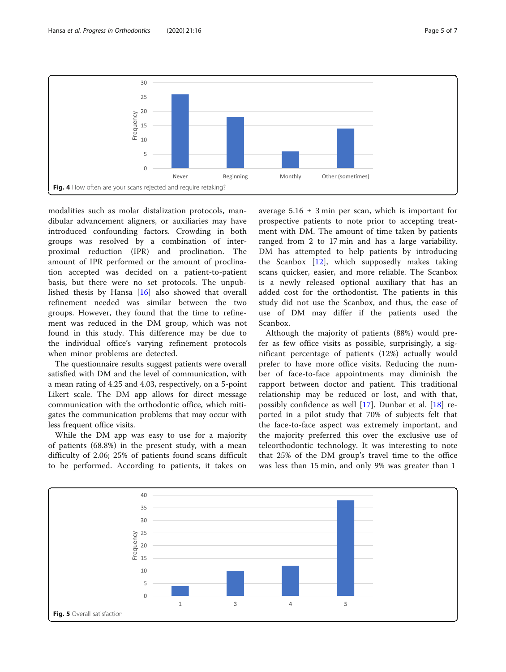<span id="page-4-0"></span>

modalities such as molar distalization protocols, mandibular advancement aligners, or auxiliaries may have introduced confounding factors. Crowding in both groups was resolved by a combination of interproximal reduction (IPR) and proclination. The amount of IPR performed or the amount of proclination accepted was decided on a patient-to-patient basis, but there were no set protocols. The unpublished thesis by Hansa [[16\]](#page-6-0) also showed that overall refinement needed was similar between the two groups. However, they found that the time to refinement was reduced in the DM group, which was not found in this study. This difference may be due to the individual office's varying refinement protocols when minor problems are detected.

The questionnaire results suggest patients were overall satisfied with DM and the level of communication, with a mean rating of 4.25 and 4.03, respectively, on a 5-point Likert scale. The DM app allows for direct message communication with the orthodontic office, which mitigates the communication problems that may occur with less frequent office visits.

While the DM app was easy to use for a majority of patients (68.8%) in the present study, with a mean difficulty of 2.06; 25% of patients found scans difficult to be performed. According to patients, it takes on average  $5.16 \pm 3$  min per scan, which is important for prospective patients to note prior to accepting treatment with DM. The amount of time taken by patients ranged from 2 to 17 min and has a large variability. DM has attempted to help patients by introducing the Scanbox [[12\]](#page-6-0), which supposedly makes taking scans quicker, easier, and more reliable. The Scanbox is a newly released optional auxiliary that has an added cost for the orthodontist. The patients in this study did not use the Scanbox, and thus, the ease of use of DM may differ if the patients used the Scanbox.

Although the majority of patients (88%) would prefer as few office visits as possible, surprisingly, a significant percentage of patients (12%) actually would prefer to have more office visits. Reducing the number of face-to-face appointments may diminish the rapport between doctor and patient. This traditional relationship may be reduced or lost, and with that, possibly confidence as well [[17\]](#page-6-0). Dunbar et al. [[18\]](#page-6-0) reported in a pilot study that 70% of subjects felt that the face-to-face aspect was extremely important, and the majority preferred this over the exclusive use of teleorthodontic technology. It was interesting to note that 25% of the DM group's travel time to the office was less than 15 min, and only 9% was greater than 1

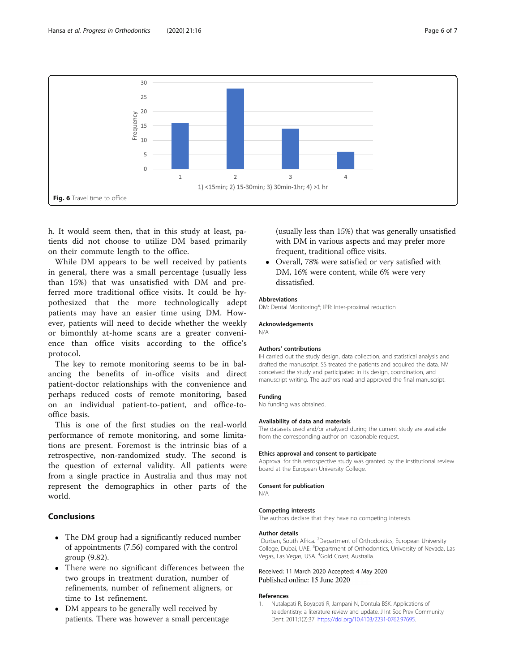<span id="page-5-0"></span>

h. It would seem then, that in this study at least, patients did not choose to utilize DM based primarily on their commute length to the office.

While DM appears to be well received by patients in general, there was a small percentage (usually less than 15%) that was unsatisfied with DM and preferred more traditional office visits. It could be hypothesized that the more technologically adept patients may have an easier time using DM. However, patients will need to decide whether the weekly or bimonthly at-home scans are a greater convenience than office visits according to the office's protocol.

The key to remote monitoring seems to be in balancing the benefits of in-office visits and direct patient-doctor relationships with the convenience and perhaps reduced costs of remote monitoring, based on an individual patient-to-patient, and office-tooffice basis.

This is one of the first studies on the real-world performance of remote monitoring, and some limitations are present. Foremost is the intrinsic bias of a retrospective, non-randomized study. The second is the question of external validity. All patients were from a single practice in Australia and thus may not represent the demographics in other parts of the world.

## Conclusions

- The DM group had a significantly reduced number of appointments (7.56) compared with the control group (9.82).
- There were no significant differences between the two groups in treatment duration, number of refinements, number of refinement aligners, or time to 1st refinement.
- DM appears to be generally well received by patients. There was however a small percentage

(usually less than 15%) that was generally unsatisfied with DM in various aspects and may prefer more frequent, traditional office visits.

 Overall, 78% were satisfied or very satisfied with DM, 16% were content, while 6% were very dissatisfied.

#### Abbreviations

DM: Dental Monitoring®; IPR: Inter-proximal reduction

#### Acknowledgements

N/A

#### Authors' contributions

IH carried out the study design, data collection, and statistical analysis and drafted the manuscript. SS treated the patients and acquired the data. NV conceived the study and participated in its design, coordination, and manuscript writing. The authors read and approved the final manuscript.

#### Funding

No funding was obtained.

#### Availability of data and materials

The datasets used and/or analyzed during the current study are available from the corresponding author on reasonable request.

#### Ethics approval and consent to participate

Approval for this retrospective study was granted by the institutional review board at the European University College.

#### Consent for publication

N/A

#### Competing interests

The authors declare that they have no competing interests.

#### Author details

<sup>1</sup>Durban, South Africa. <sup>2</sup>Department of Orthodontics, European University College, Dubai, UAE. <sup>3</sup>Department of Orthodontics, University of Nevada, Las Vegas, Las Vegas, USA. <sup>4</sup>Gold Coast, Australia.

#### Received: 11 March 2020 Accepted: 4 May 2020 Published online: 15 June 2020

#### References

1. Nutalapati R, Boyapati R, Jampani N, Dontula BSK. Applications of teledentistry: a literature review and update. J Int Soc Prev Community Dent. 2011;1(2):37. [https://doi.org/10.4103/2231-0762.97695.](https://doi.org/10.4103/2231-0762.97695)